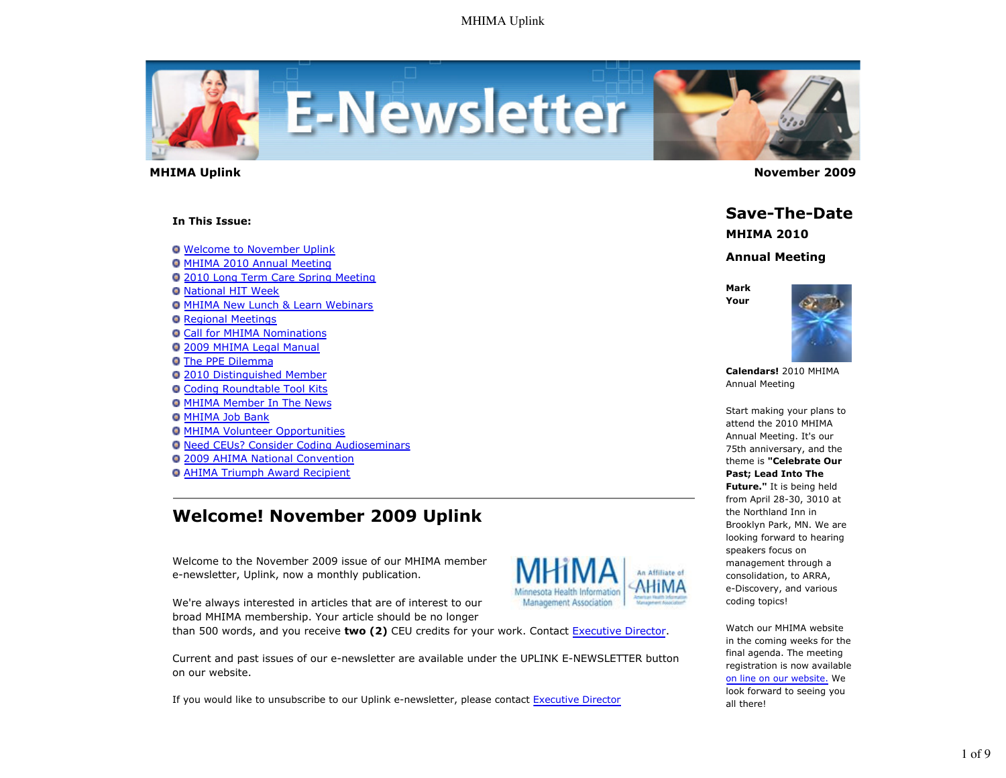

#### **In This Issue:**

**O** Welcome to November Uplink **O MHIMA 2010 Annual Meeting** 2010 Long Term Care Spring Meeting **Q National HIT Week O MHIMA New Lunch & Learn Webinars O** Regional Meetings **Call for MHIMA Nominations** 2009 MHIMA Legal Manual The PPE Dilemma 2010 Distinguished Member **Q Coding Roundtable Tool Kits O MHIMA Member In The News** MHIMA Job Bank **O MHIMA Volunteer Opportunities O Need CEUs? Consider Coding Audioseminars** 2009 AHIMA National Convention AHIMA Triumph Award Recipient

# **Welcome! November 2009 Uplink**

Welcome to the November 2009 issue of our MHIMA member e-newsletter, Uplink, now a monthly publication.



We're always interested in articles that are of interest to our broad MHIMA membership. Your article should be no longer than 500 words, and you receive **two (2)** CEU credits for your work. Contact Executive Director.

Current and past issues of our e-newsletter are available under the UPLINK E-NEWSLETTER button on our website.

If you would like to unsubscribe to our Uplink e-newsletter, please contact Executive Director

 **MHIMA Uplink November 2009** 

**Save-The-Date**

**MHIMA 2010**

**Annual Meeting**

**Mark Your**



**Calendars!** 2010 MHIMA Annual Meeting

Start making your plans to attend the 2010 MHIMA Annual Meeting. It's our 75th anniversary, and the theme is **"Celebrate Our Past; Lead Into The Future."** It is being held from April 28-30, 3010 at the Northland Inn in Brooklyn Park, MN. We are looking forward to hearing speakers focus on management through a consolidation, to ARRA, e-Discovery, and various coding topics!

Watch our MHIMA website in the coming weeks for the final agenda. The meeting registration is now available on line on our website. We look forward to seeing you all there!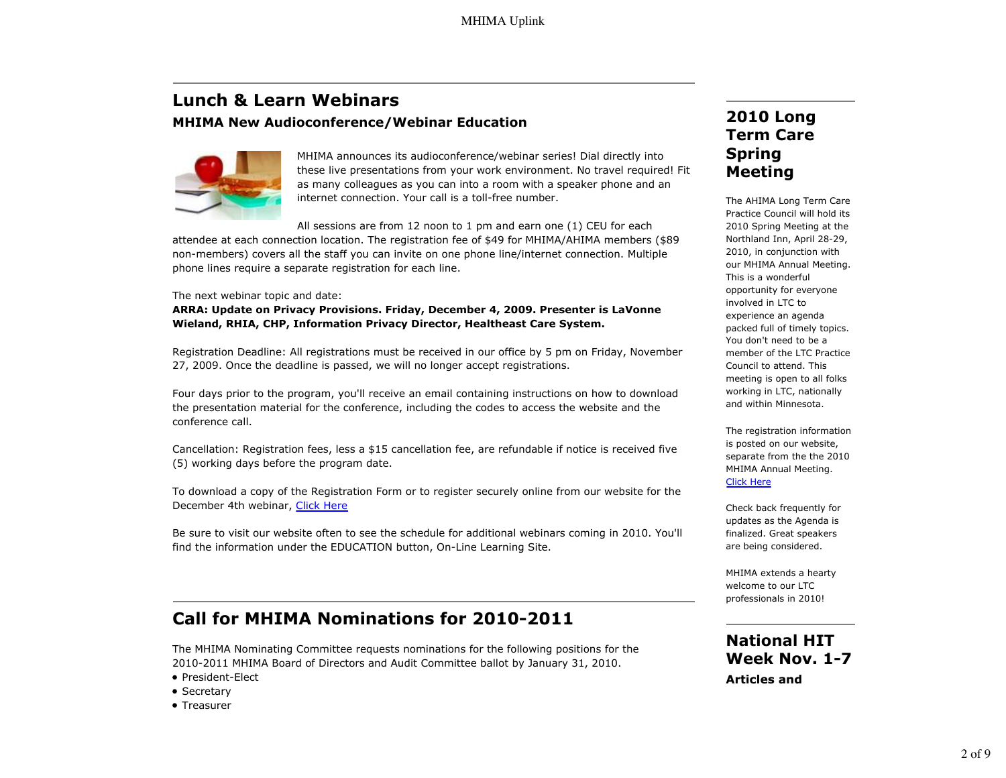# **Lunch & Learn Webinars MHIMA New Audioconference/Webinar Education**



MHIMA announces its audioconference/webinar series! Dial directly into these live presentations from your work environment. No travel required! Fit as many colleagues as you can into a room with a speaker phone and an internet connection. Your call is a toll-free number.

All sessions are from 12 noon to 1 pm and earn one (1) CEU for each

attendee at each connection location. The registration fee of \$49 for MHIMA/AHIMA members (\$89 non-members) covers all the staff you can invite on one phone line/internet connection. Multiple phone lines require a separate registration for each line.

The next webinar topic and date:

**ARRA: Update on Privacy Provisions. Friday, December 4, 2009. Presenter is LaVonne Wieland, RHIA, CHP, Information Privacy Director, Healtheast Care System.**

Registration Deadline: All registrations must be received in our office by 5 pm on Friday, November 27, 2009. Once the deadline is passed, we will no longer accept registrations.

Four days prior to the program, you'll receive an email containing instructions on how to download the presentation material for the conference, including the codes to access the website and the conference call.

Cancellation: Registration fees, less a \$15 cancellation fee, are refundable if notice is received five (5) working days before the program date.

To download a copy of the Registration Form or to register securely online from our website for the December 4th webinar, Click Here

Be sure to visit our website often to see the schedule for additional webinars coming in 2010. You'll find the information under the EDUCATION button, On-Line Learning Site.

# **Call for MHIMA Nominations for 2010-2011**

The MHIMA Nominating Committee requests nominations for the following positions for the 2010-2011 MHIMA Board of Directors and Audit Committee ballot by January 31, 2010.

- President-Elect
- Secretary
- Treasurer

# **2010 Long Term Care Spring Meeting**

The AHIMA Long Term Care Practice Council will hold its 2010 Spring Meeting at the Northland Inn, April 28-29, 2010, in conjunction with our MHIMA Annual Meeting. This is a wonderful opportunity for everyone involved in LTC to experience an agenda packed full of timely topics. You don't need to be a member of the LTC Practice Council to attend. This meeting is open to all folks working in LTC, nationally and within Minnesota.

The registration information is posted on our website, separate from the the 2010 MHIMA Annual Meeting. Click Here

Check back frequently for updates as the Agenda is finalized. Great speakers are being considered.

MHIMA extends a hearty welcome to our LTC professionals in 2010!

**National HIT Week Nov. 1-7 Articles and**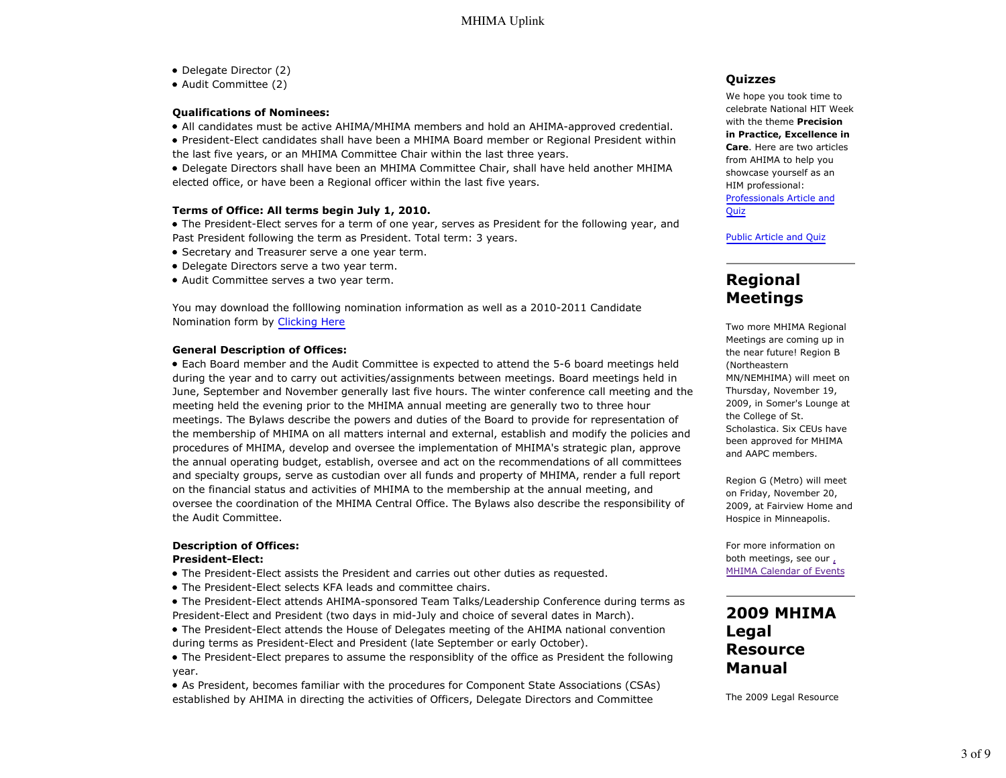- Delegate Director (2)
- Audit Committee (2)

#### **Qualifications of Nominees:**

- All candidates must be active AHIMA/MHIMA members and hold an AHIMA-approved credential.
- President-Elect candidates shall have been a MHIMA Board member or Regional President within the last five years, or an MHIMA Committee Chair within the last three years.

Delegate Directors shall have been an MHIMA Committee Chair, shall have held another MHIMA elected office, or have been a Regional officer within the last five years.

#### **Terms of Office: All terms begin July 1, 2010.**

The President-Elect serves for a term of one year, serves as President for the following year, and Past President following the term as President. Total term: 3 years.

- Secretary and Treasurer serve a one year term.
- Delegate Directors serve a two year term.
- Audit Committee serves a two year term.

You may download the folllowing nomination information as well as a 2010-2011 Candidate Nomination form by Clicking Here

#### **General Description of Offices:**

Each Board member and the Audit Committee is expected to attend the 5-6 board meetings held during the year and to carry out activities/assignments between meetings. Board meetings held in June, September and November generally last five hours. The winter conference call meeting and the meeting held the evening prior to the MHIMA annual meeting are generally two to three hour meetings. The Bylaws describe the powers and duties of the Board to provide for representation of the membership of MHIMA on all matters internal and external, establish and modify the policies and procedures of MHIMA, develop and oversee the implementation of MHIMA's strategic plan, approve the annual operating budget, establish, oversee and act on the recommendations of all committees and specialty groups, serve as custodian over all funds and property of MHIMA, render a full report on the financial status and activities of MHIMA to the membership at the annual meeting, and oversee the coordination of the MHIMA Central Office. The Bylaws also describe the responsibility of the Audit Committee.

#### **Description of Offices:**

#### **President-Elect:**

- The President-Elect assists the President and carries out other duties as requested.
- The President-Elect selects KFA leads and committee chairs.

The President-Elect attends AHIMA-sponsored Team Talks/Leadership Conference during terms as President-Elect and President (two days in mid-July and choice of several dates in March).

- The President-Elect attends the House of Delegates meeting of the AHIMA national convention during terms as President-Elect and President (late September or early October).
- The President-Elect prepares to assume the responsiblity of the office as President the following year.
- As President, becomes familiar with the procedures for Component State Associations (CSAs) established by AHIMA in directing the activities of Officers, Delegate Directors and Committee

#### **Quizzes**

We hope you took time to celebrate National HIT Week with the theme **Precision in Practice, Excellence in Care**. Here are two articles from AHIMA to help you showcase yourself as an HIM professional: Professionals Article and

Quiz

Public Article and Quiz

## **Regional Meetings**

Two more MHIMA Regional Meetings are coming up in the near future! Region B (Northeastern MN/NEMHIMA) will meet on Thursday, November 19, 2009, in Somer's Lounge at the College of St. Scholastica. Six CEUs have been approved for MHIMA and AAPC members.

Region G (Metro) will meet on Friday, November 20, 2009, at Fairview Home and Hospice in Minneapolis.

For more information on both meetings, see our , MHIMA Calendar of Events

## **2009 MHIMA Legal Resource Manual**

The 2009 Legal Resource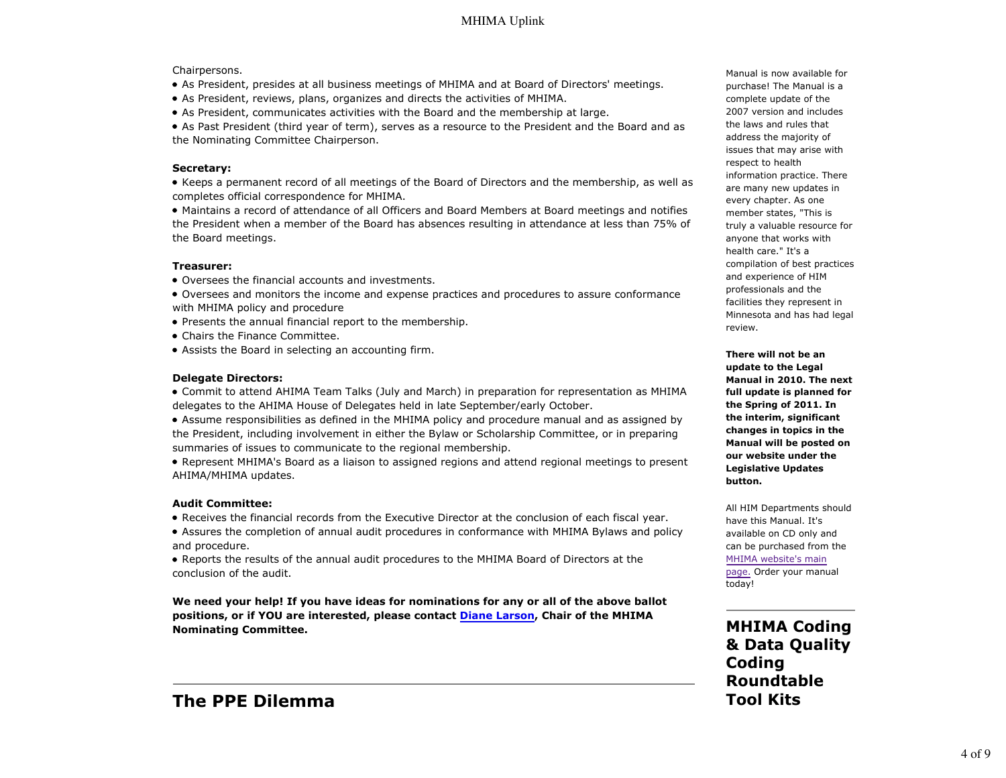#### Chairpersons.

- As President, presides at all business meetings of MHIMA and at Board of Directors' meetings.
- As President, reviews, plans, organizes and directs the activities of MHIMA.
- As President, communicates activities with the Board and the membership at large.

As Past President (third year of term), serves as a resource to the President and the Board and as the Nominating Committee Chairperson.

#### **Secretary:**

Keeps a permanent record of all meetings of the Board of Directors and the membership, as well as completes official correspondence for MHIMA.

Maintains a record of attendance of all Officers and Board Members at Board meetings and notifies the President when a member of the Board has absences resulting in attendance at less than 75% of the Board meetings.

#### **Treasurer:**

- Oversees the financial accounts and investments.
- Oversees and monitors the income and expense practices and procedures to assure conformance with MHIMA policy and procedure
- Presents the annual financial report to the membership.
- Chairs the Finance Committee.
- Assists the Board in selecting an accounting firm.

#### **Delegate Directors:**

Commit to attend AHIMA Team Talks (July and March) in preparation for representation as MHIMA delegates to the AHIMA House of Delegates held in late September/early October.

- Assume responsibilities as defined in the MHIMA policy and procedure manual and as assigned by the President, including involvement in either the Bylaw or Scholarship Committee, or in preparing summaries of issues to communicate to the regional membership.
- Represent MHIMA's Board as a liaison to assigned regions and attend regional meetings to present AHIMA/MHIMA updates.

#### **Audit Committee:**

- Receives the financial records from the Executive Director at the conclusion of each fiscal year.
- Assures the completion of annual audit procedures in conformance with MHIMA Bylaws and policy and procedure.

Reports the results of the annual audit procedures to the MHIMA Board of Directors at the conclusion of the audit.

**We need your help! If you have ideas for nominations for any or all of the above ballot positions, or if YOU are interested, please contact Diane Larson, Chair of the MHIMA Nominating Committee.**

## **The PPE Dilemma**

Manual is now available for purchase! The Manual is a complete update of the 2007 version and includes the laws and rules that address the majority of issues that may arise with respect to health information practice. There are many new updates in every chapter. As one member states, "This is truly a valuable resource for anyone that works with health care." It's a compilation of best practices and experience of HIM professionals and the facilities they represent in Minnesota and has had legal review.

**There will not be an update to the Legal Manual in 2010. The next full update is planned for the Spring of 2011. In the interim, significant changes in topics in the Manual will be posted on our website under the Legislative Updates button.**

All HIM Departments should have this Manual. It's available on CD only and can be purchased from the MHIMA website's main page. Order your manual today!

**MHIMA Coding & Data Quality Coding Roundtable Tool Kits**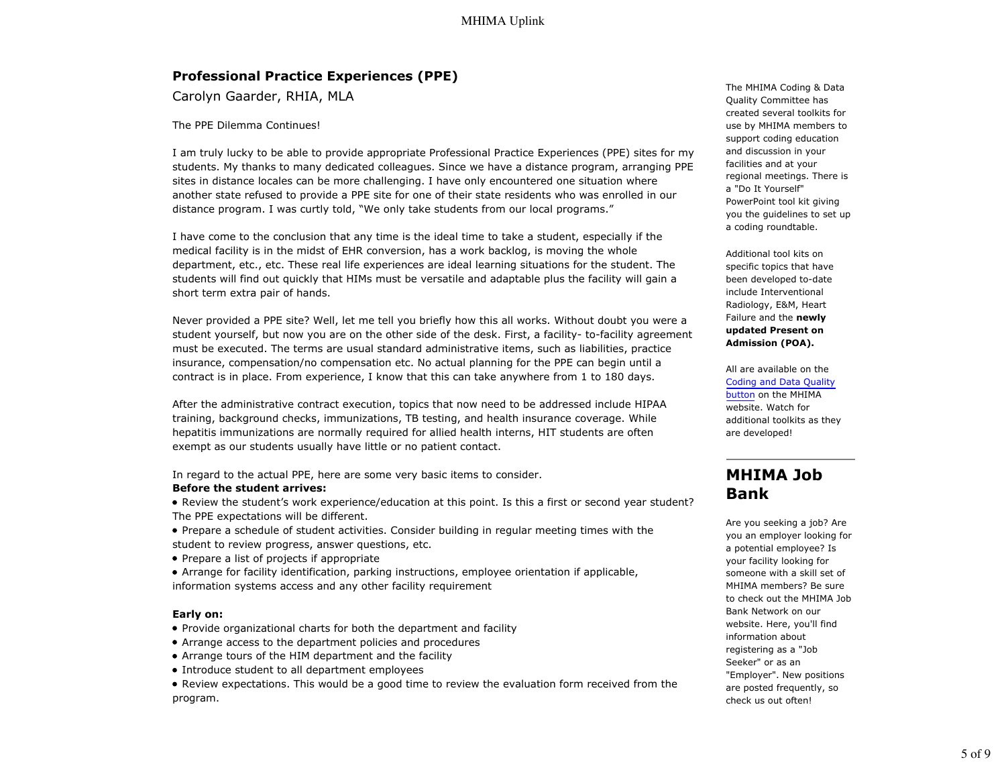## **Professional Practice Experiences (PPE)**

Carolyn Gaarder, RHIA, MLA

The PPE Dilemma Continues!

I am truly lucky to be able to provide appropriate Professional Practice Experiences (PPE) sites for my students. My thanks to many dedicated colleagues. Since we have a distance program, arranging PPE sites in distance locales can be more challenging. I have only encountered one situation where another state refused to provide a PPE site for one of their state residents who was enrolled in our distance program. I was curtly told, "We only take students from our local programs."

I have come to the conclusion that any time is the ideal time to take a student, especially if the medical facility is in the midst of EHR conversion, has a work backlog, is moving the whole department, etc., etc. These real life experiences are ideal learning situations for the student. The students will find out quickly that HIMs must be versatile and adaptable plus the facility will gain a short term extra pair of hands.

Never provided a PPE site? Well, let me tell you briefly how this all works. Without doubt you were a student yourself, but now you are on the other side of the desk. First, a facility- to-facility agreement must be executed. The terms are usual standard administrative items, such as liabilities, practice insurance, compensation/no compensation etc. No actual planning for the PPE can begin until a contract is in place. From experience, I know that this can take anywhere from 1 to 180 days.

After the administrative contract execution, topics that now need to be addressed include HIPAA training, background checks, immunizations, TB testing, and health insurance coverage. While hepatitis immunizations are normally required for allied health interns, HIT students are often exempt as our students usually have little or no patient contact.

In regard to the actual PPE, here are some very basic items to consider.

#### **Before the student arrives:**

- Review the student's work experience/education at this point. Is this a first or second year student? The PPE expectations will be different.
- Prepare a schedule of student activities. Consider building in regular meeting times with the student to review progress, answer questions, etc.
- Prepare a list of projects if appropriate
- Arrange for facility identification, parking instructions, employee orientation if applicable, information systems access and any other facility requirement

#### **Early on:**

- Provide organizational charts for both the department and facility
- Arrange access to the department policies and procedures
- Arrange tours of the HIM department and the facility
- Introduce student to all department employees
- Review expectations. This would be a good time to review the evaluation form received from the program.

The MHIMA Coding & Data Quality Committee has created several toolkits for use by MHIMA members to support coding education and discussion in your facilities and at your regional meetings. There is a "Do It Yourself" PowerPoint tool kit giving you the guidelines to set up a coding roundtable.

Additional tool kits on specific topics that have been developed to-date include Interventional Radiology, E&M, Heart Failure and the **newly updated Present on Admission (POA).**

All are available on the Coding and Data Quality button on the MHIMA website. Watch for additional toolkits as they are developed!

## **MHIMA Job Bank**

Are you seeking a job? Are you an employer looking for a potential employee? Is your facility looking for someone with a skill set of MHIMA members? Be sure to check out the MHIMA Job Bank Network on our website. Here, you'll find information about registering as a "Job Seeker" or as an "Employer". New positions are posted frequently, so check us out often!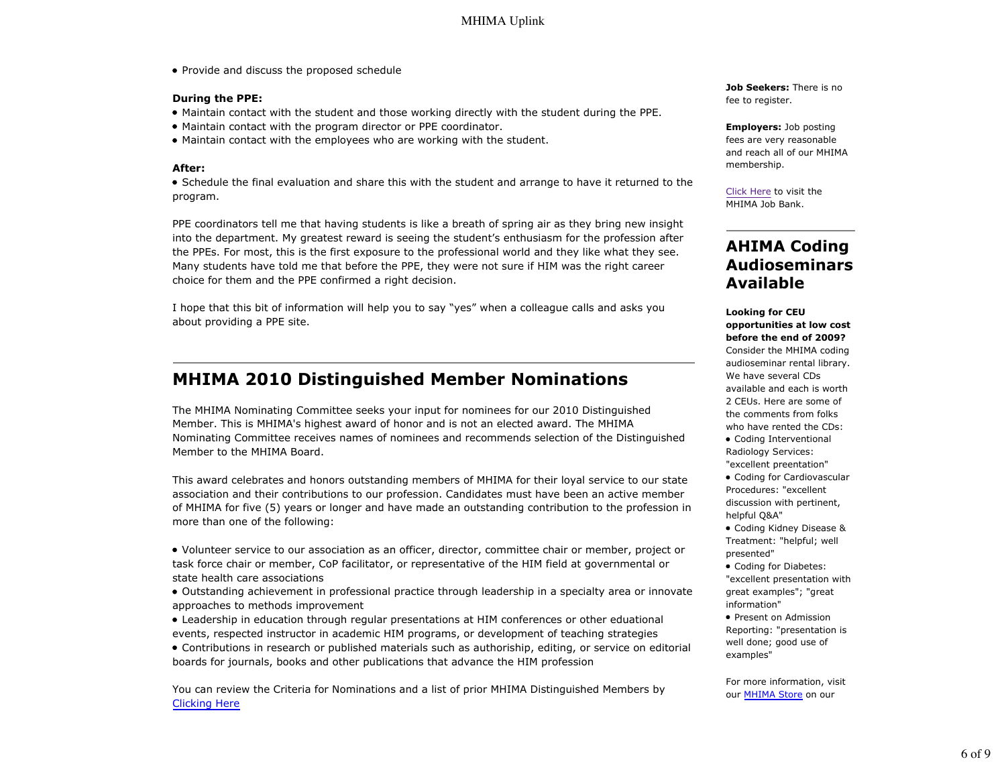• Provide and discuss the proposed schedule

#### **During the PPE:**

- Maintain contact with the student and those working directly with the student during the PPE.
- Maintain contact with the program director or PPE coordinator.
- Maintain contact with the employees who are working with the student.

#### **After:**

Schedule the final evaluation and share this with the student and arrange to have it returned to the program.

PPE coordinators tell me that having students is like a breath of spring air as they bring new insight into the department. My greatest reward is seeing the student's enthusiasm for the profession after the PPEs. For most, this is the first exposure to the professional world and they like what they see. Many students have told me that before the PPE, they were not sure if HIM was the right career choice for them and the PPE confirmed a right decision.

I hope that this bit of information will help you to say "yes" when a colleague calls and asks you about providing a PPE site.

## **MHIMA 2010 Distinguished Member Nominations**

The MHIMA Nominating Committee seeks your input for nominees for our 2010 Distinguished Member. This is MHIMA's highest award of honor and is not an elected award. The MHIMA Nominating Committee receives names of nominees and recommends selection of the Distinguished Member to the MHIMA Board.

This award celebrates and honors outstanding members of MHIMA for their loyal service to our state association and their contributions to our profession. Candidates must have been an active member of MHIMA for five (5) years or longer and have made an outstanding contribution to the profession in more than one of the following:

- Volunteer service to our association as an officer, director, committee chair or member, project or task force chair or member, CoP facilitator, or representative of the HIM field at governmental or state health care associations
- Outstanding achievement in professional practice through leadership in a specialty area or innovate approaches to methods improvement
- Leadership in education through regular presentations at HIM conferences or other eduational events, respected instructor in academic HIM programs, or development of teaching strategies
- Contributions in research or published materials such as authoriship, editing, or service on editorial boards for journals, books and other publications that advance the HIM profession

You can review the Criteria for Nominations and a list of prior MHIMA Distinguished Members by Clicking Here

**Job Seekers:** There is no fee to register.

**Employers:** Job posting fees are very reasonable and reach all of our MHIMA membership.

Click Here to visit the MHIMA Job Bank.

## **AHIMA Coding Audioseminars Available**

**Looking for CEU opportunities at low cost before the end of 2009?** Consider the MHIMA coding audioseminar rental library. We have several CDs available and each is worth 2 CEUs. Here are some of the comments from folks who have rented the CDs:

- Coding Interventional Radiology Services: "excellent preentation"
- Coding for Cardiovascular Procedures: "excellent discussion with pertinent, helpful Q&A"

Coding Kidney Disease & Treatment: "helpful; well presented"

- Coding for Diabetes: "excellent presentation with great examples"; "great information"
- Present on Admission Reporting: "presentation is well done; good use of examples"

For more information, visit our **MHIMA Store** on our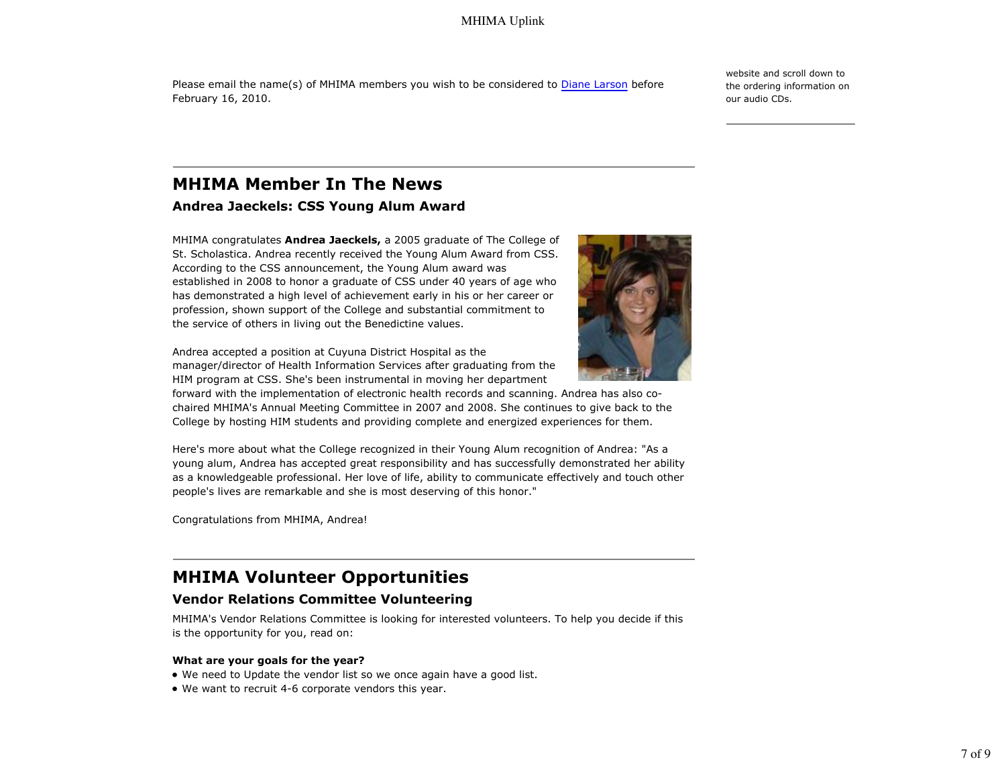## MHIMA Uplink

Please email the name(s) of MHIMA members you wish to be considered to Diane Larson before February 16, 2010.

website and scroll down to the ordering information on our audio CDs.

# **MHIMA Member In The News**

## **Andrea Jaeckels: CSS Young Alum Award**

MHIMA congratulates **Andrea Jaeckels,** a 2005 graduate of The College of St. Scholastica. Andrea recently received the Young Alum Award from CSS. According to the CSS announcement, the Young Alum award was established in 2008 to honor a graduate of CSS under 40 years of age who has demonstrated a high level of achievement early in his or her career or profession, shown support of the College and substantial commitment to the service of others in living out the Benedictine values.

Andrea accepted a position at Cuyuna District Hospital as the manager/director of Health Information Services after graduating from the HIM program at CSS. She's been instrumental in moving her department

forward with the implementation of electronic health records and scanning. Andrea has also cochaired MHIMA's Annual Meeting Committee in 2007 and 2008. She continues to give back to the College by hosting HIM students and providing complete and energized experiences for them.

Here's more about what the College recognized in their Young Alum recognition of Andrea: "As a young alum, Andrea has accepted great responsibility and has successfully demonstrated her ability as a knowledgeable professional. Her love of life, ability to communicate effectively and touch other people's lives are remarkable and she is most deserving of this honor."

Congratulations from MHIMA, Andrea!

## **MHIMA Volunteer Opportunities**

## **Vendor Relations Committee Volunteering**

MHIMA's Vendor Relations Committee is looking for interested volunteers. To help you decide if this is the opportunity for you, read on:

#### **What are your goals for the year?**

- We need to Update the vendor list so we once again have a good list.
- We want to recruit 4-6 corporate vendors this year.

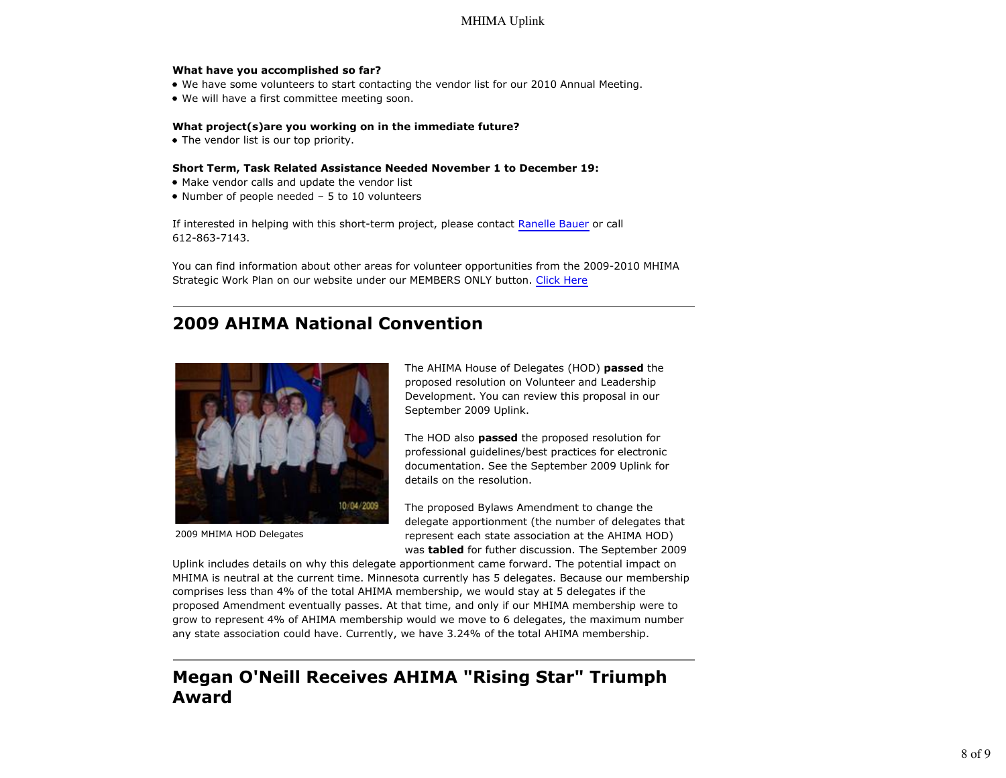## MHIMA Uplink

#### **What have you accomplished so far?**

- We have some volunteers to start contacting the vendor list for our 2010 Annual Meeting.
- We will have a first committee meeting soon.

#### **What project(s)are you working on in the immediate future?**

• The vendor list is our top priority.

#### **Short Term, Task Related Assistance Needed November 1 to December 19:**

- Make vendor calls and update the vendor list
- Number of people needed 5 to 10 volunteers

If interested in helping with this short-term project, please contact Ranelle Bauer or call 612-863-7143.

You can find information about other areas for volunteer opportunities from the 2009-2010 MHIMA Strategic Work Plan on our website under our MEMBERS ONLY button. Click Here

# **2009 AHIMA National Convention**



2009 MHIMA HOD Delegates

The AHIMA House of Delegates (HOD) **passed** the proposed resolution on Volunteer and Leadership Development. You can review this proposal in our September 2009 Uplink.

The HOD also **passed** the proposed resolution for professional guidelines/best practices for electronic documentation. See the September 2009 Uplink for details on the resolution.

The proposed Bylaws Amendment to change the delegate apportionment (the number of delegates that represent each state association at the AHIMA HOD) was **tabled** for futher discussion. The September 2009

Uplink includes details on why this delegate apportionment came forward. The potential impact on MHIMA is neutral at the current time. Minnesota currently has 5 delegates. Because our membership comprises less than 4% of the total AHIMA membership, we would stay at 5 delegates if the proposed Amendment eventually passes. At that time, and only if our MHIMA membership were to grow to represent 4% of AHIMA membership would we move to 6 delegates, the maximum number any state association could have. Currently, we have 3.24% of the total AHIMA membership.

# **Megan O'Neill Receives AHIMA "Rising Star" Triumph Award**